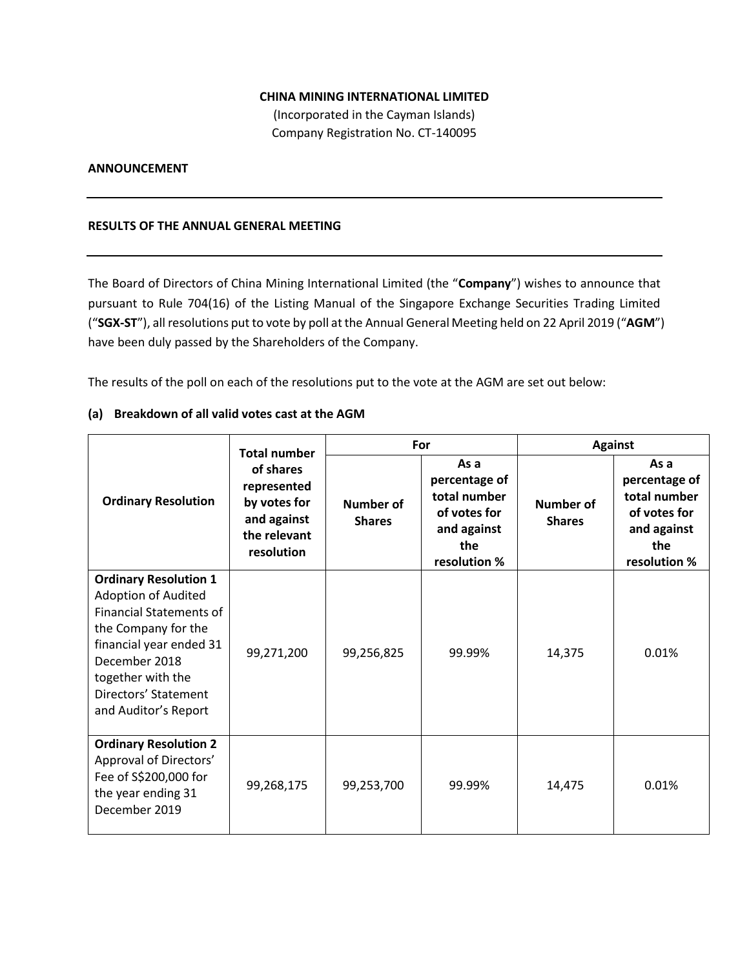## **CHINA MINING INTERNATIONAL LIMITED**

(Incorporated in the Cayman Islands) Company Registration No. CT-140095

### **ANNOUNCEMENT**

#### **RESULTS OF THE ANNUAL GENERAL MEETING**

The Board of Directors of China Mining International Limited (the "**Company**") wishes to announce that pursuant to Rule 704(16) of the Listing Manual of the Singapore Exchange Securities Trading Limited ("**SGX-ST**"), all resolutions put to vote by poll at the Annual General Meeting held on 22 April 2019 ("**AGM**") have been duly passed by the Shareholders of the Company.

The results of the poll on each of the resolutions put to the vote at the AGM are set out below:

#### **(a) Breakdown of all valid votes cast at the AGM**

|                                                                                                                                                                                                                                      | <b>Total number</b>                                                                   | For                               |                                                                                             | <b>Against</b>                    |                                                                                             |
|--------------------------------------------------------------------------------------------------------------------------------------------------------------------------------------------------------------------------------------|---------------------------------------------------------------------------------------|-----------------------------------|---------------------------------------------------------------------------------------------|-----------------------------------|---------------------------------------------------------------------------------------------|
| <b>Ordinary Resolution</b>                                                                                                                                                                                                           | of shares<br>represented<br>by votes for<br>and against<br>the relevant<br>resolution | <b>Number of</b><br><b>Shares</b> | As a<br>percentage of<br>total number<br>of votes for<br>and against<br>the<br>resolution % | <b>Number of</b><br><b>Shares</b> | As a<br>percentage of<br>total number<br>of votes for<br>and against<br>the<br>resolution % |
| <b>Ordinary Resolution 1</b><br><b>Adoption of Audited</b><br><b>Financial Statements of</b><br>the Company for the<br>financial year ended 31<br>December 2018<br>together with the<br>Directors' Statement<br>and Auditor's Report | 99,271,200                                                                            | 99,256,825                        | 99.99%                                                                                      | 14,375                            | 0.01%                                                                                       |
| <b>Ordinary Resolution 2</b><br>Approval of Directors'<br>Fee of S\$200,000 for<br>the year ending 31<br>December 2019                                                                                                               | 99,268,175                                                                            | 99,253,700                        | 99.99%                                                                                      | 14,475                            | 0.01%                                                                                       |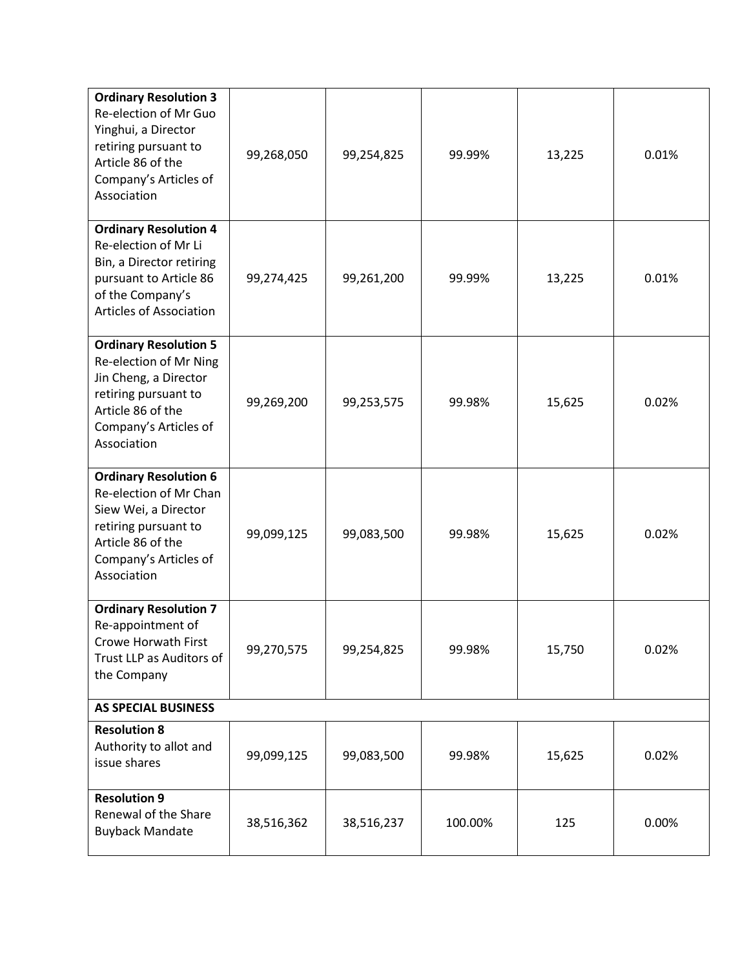| <b>Ordinary Resolution 3</b><br>Re-election of Mr Guo<br>Yinghui, a Director<br>retiring pursuant to<br>Article 86 of the<br>Company's Articles of<br>Association    | 99,268,050 | 99,254,825 | 99.99%  | 13,225 | 0.01% |  |
|----------------------------------------------------------------------------------------------------------------------------------------------------------------------|------------|------------|---------|--------|-------|--|
| <b>Ordinary Resolution 4</b><br>Re-election of Mr Li<br>Bin, a Director retiring<br>pursuant to Article 86<br>of the Company's<br><b>Articles of Association</b>     | 99,274,425 | 99,261,200 | 99.99%  | 13,225 | 0.01% |  |
| <b>Ordinary Resolution 5</b><br>Re-election of Mr Ning<br>Jin Cheng, a Director<br>retiring pursuant to<br>Article 86 of the<br>Company's Articles of<br>Association | 99,269,200 | 99,253,575 | 99.98%  | 15,625 | 0.02% |  |
| <b>Ordinary Resolution 6</b><br>Re-election of Mr Chan<br>Siew Wei, a Director<br>retiring pursuant to<br>Article 86 of the<br>Company's Articles of<br>Association  | 99,099,125 | 99,083,500 | 99.98%  | 15,625 | 0.02% |  |
| <b>Ordinary Resolution 7</b><br>Re-appointment of<br>Crowe Horwath First<br>Trust LLP as Auditors of<br>the Company                                                  | 99,270,575 | 99,254,825 | 99.98%  | 15,750 | 0.02% |  |
| <b>AS SPECIAL BUSINESS</b>                                                                                                                                           |            |            |         |        |       |  |
| <b>Resolution 8</b><br>Authority to allot and<br>issue shares                                                                                                        | 99,099,125 | 99,083,500 | 99.98%  | 15,625 | 0.02% |  |
| <b>Resolution 9</b><br>Renewal of the Share<br><b>Buyback Mandate</b>                                                                                                | 38,516,362 | 38,516,237 | 100.00% | 125    | 0.00% |  |